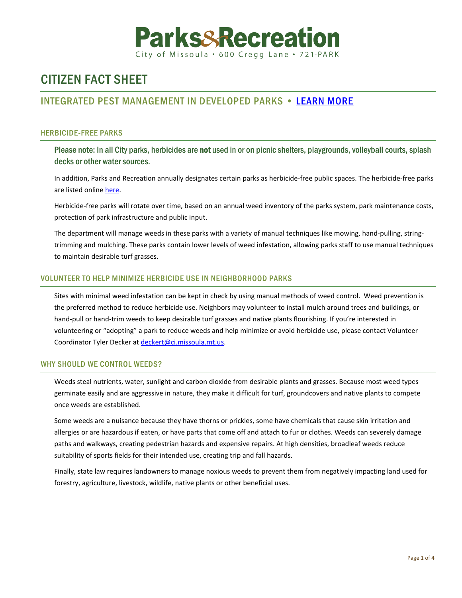

# CITIZEN FACT SHEET

## INTEGRATED PEST MANAGEMENT IN DEVELOPED PARKS • [LEARN MORE](https://www.ci.missoula.mt.us/1739/Vegetation-Management-In-Parks)

### HERBICIDE-FREE PARKS

Please note: In all City parks, herbicides are not used in or on picnic shelters, playgrounds, volleyball courts, splash decks or other water sources.

In addition, Parks and Recreation annually designates certain parks as herbicide-free public spaces. The herbicide-free parks are listed online [here.](https://mt-missoula4.civicplus.com/DocumentCenter/View/56056/Herbicide-free-parks-list)

Herbicide-free parks will rotate over time, based on an annual weed inventory of the parks system, park maintenance costs, protection of park infrastructure and public input.

The department will manage weeds in these parks with a variety of manual techniques like mowing, hand-pulling, stringtrimming and mulching. These parks contain lower levels of weed infestation, allowing parks staff to use manual techniques to maintain desirable turf grasses.

#### VOLUNTEER TO HELP MINIMIZE HERBICIDE USE IN NEIGHBORHOOD PARKS

Sites with minimal weed infestation can be kept in check by using manual methods of weed control. Weed prevention is the preferred method to reduce herbicide use. Neighbors may volunteer to install mulch around trees and buildings, or hand-pull or hand-trim weeds to keep desirable turf grasses and native plants flourishing. If you're interested in volunteering or "adopting" a park to reduce weeds and help minimize or avoid herbicide use, please contact Volunteer Coordinator Tyler Decker at [deckert@ci.missoula.mt.us.](mailto:deckert@ci.missoula.mt.us)

#### WHY SHOULD WE CONTROL WEEDS?

Weeds steal nutrients, water, sunlight and carbon dioxide from desirable plants and grasses. Because most weed types germinate easily and are aggressive in nature, they make it difficult for turf, groundcovers and native plants to compete once weeds are established.

Some weeds are a nuisance because they have thorns or prickles, some have chemicals that cause skin irritation and allergies or are hazardous if eaten, or have parts that come off and attach to fur or clothes. Weeds can severely damage paths and walkways, creating pedestrian hazards and expensive repairs. At high densities, broadleaf weeds reduce suitability of sports fields for their intended use, creating trip and fall hazards.

Finally, state law requires landowners to manage noxious weeds to prevent them from negatively impacting land used for forestry, agriculture, livestock, wildlife, native plants or other beneficial uses.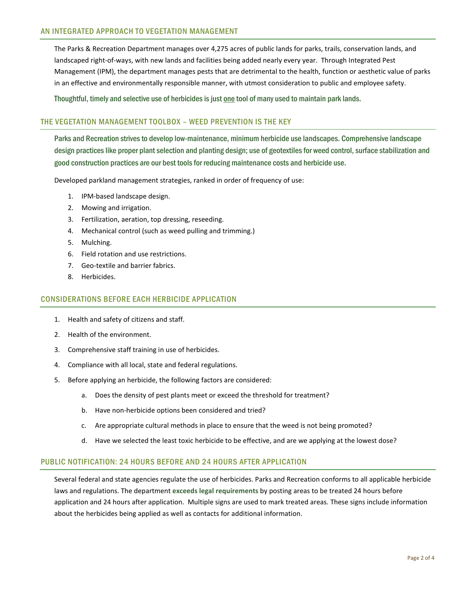The Parks & Recreation Department manages over 4,275 acres of public lands for parks, trails, conservation lands, and landscaped right-of-ways, with new lands and facilities being added nearly every year. Through Integrated Pest Management (IPM), the department manages pests that are detrimental to the health, function or aesthetic value of parks in an effective and environmentally responsible manner, with utmost consideration to public and employee safety.

Thoughtful, timely and selective use of herbicides is just one tool of many used to maintain park lands.

#### THE VEGETATION MANAGEMENT TOOLBOX – WEED PREVENTION IS THE KEY

Parks and Recreation strives to develop low-maintenance, minimum herbicide use landscapes. Comprehensive landscape design practices like proper plant selection and planting design; use of geotextiles for weed control, surface stabilization and good construction practices are our best tools for reducing maintenance costs and herbicide use.

Developed parkland management strategies, ranked in order of frequency of use:

- 1. IPM-based landscape design.
- 2. Mowing and irrigation.
- 3. Fertilization, aeration, top dressing, reseeding.
- 4. Mechanical control (such as weed pulling and trimming.)
- 5. Mulching.
- 6. Field rotation and use restrictions.
- 7. Geo-textile and barrier fabrics.
- 8. Herbicides.

#### CONSIDERATIONS BEFORE EACH HERBICIDE APPLICATION

- 1. Health and safety of citizens and staff.
- 2. Health of the environment.
- 3. Comprehensive staff training in use of herbicides.
- 4. Compliance with all local, state and federal regulations.
- 5. Before applying an herbicide, the following factors are considered:
	- a. Does the density of pest plants meet or exceed the threshold for treatment?
	- b. Have non-herbicide options been considered and tried?
	- c. Are appropriate cultural methods in place to ensure that the weed is not being promoted?
	- d. Have we selected the least toxic herbicide to be effective, and are we applying at the lowest dose?

#### PUBLIC NOTIFICATION: 24 HOURS BEFORE AND 24 HOURS AFTER APPLICATION

Several federal and state agencies regulate the use of herbicides. Parks and Recreation conforms to all applicable herbicide laws and regulations. The department **exceeds legal requirements** by posting areas to be treated 24 hours before application and 24 hours after application. Multiple signs are used to mark treated areas. These signs include information about the herbicides being applied as well as contacts for additional information.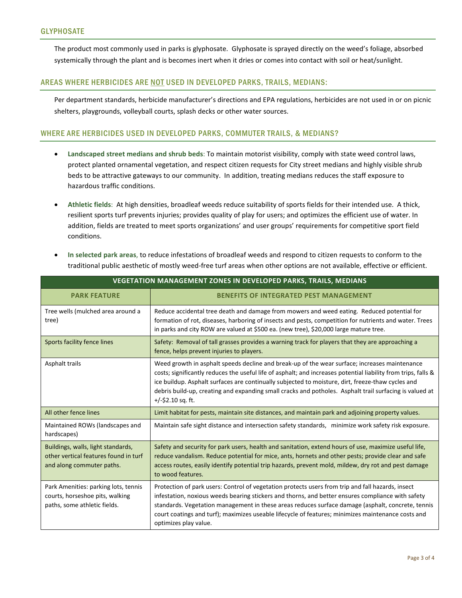The product most commonly used in parks is glyphosate. Glyphosate is sprayed directly on the weed's foliage, absorbed systemically through the plant and is becomes inert when it dries or comes into contact with soil or heat/sunlight.

#### AREAS WHERE HERBICIDES ARE NOT USED IN DEVELOPED PARKS, TRAILS, MEDIANS:

Per department standards, herbicide manufacturer's directions and EPA regulations, herbicides are not used in or on picnic shelters, playgrounds, volleyball courts, splash decks or other water sources.

#### WHERE ARE HERBICIDES USED IN DEVELOPED PARKS, COMMUTER TRAILS, & MEDIANS?

- **Landscaped street medians and shrub beds**: To maintain motorist visibility, comply with state weed control laws, protect planted ornamental vegetation, and respect citizen requests for City street medians and highly visible shrub beds to be attractive gateways to our community. In addition, treating medians reduces the staff exposure to hazardous traffic conditions.
- **Athletic fields**: At high densities, broadleaf weeds reduce suitability of sports fields for their intended use. A thick, resilient sports turf prevents injuries; provides quality of play for users; and optimizes the efficient use of water. In addition, fields are treated to meet sports organizations' and user groups' requirements for competitive sport field conditions.
- **In selected park areas**, to reduce infestations of broadleaf weeds and respond to citizen requests to conform to the traditional public aesthetic of mostly weed-free turf areas when other options are not available, effective or efficient.

| <b>VEGETATION MANAGEMENT ZONES IN DEVELOPED PARKS, TRAILS, MEDIANS</b>                                   |                                                                                                                                                                                                                                                                                                                                                                                                                                                         |
|----------------------------------------------------------------------------------------------------------|---------------------------------------------------------------------------------------------------------------------------------------------------------------------------------------------------------------------------------------------------------------------------------------------------------------------------------------------------------------------------------------------------------------------------------------------------------|
| <b>PARK FEATURE</b>                                                                                      | <b>BENEFITS OF INTEGRATED PEST MANAGEMENT</b>                                                                                                                                                                                                                                                                                                                                                                                                           |
| Tree wells (mulched area around a<br>tree)                                                               | Reduce accidental tree death and damage from mowers and weed eating. Reduced potential for<br>formation of rot, diseases, harboring of insects and pests, competition for nutrients and water. Trees<br>in parks and city ROW are valued at \$500 ea. (new tree), \$20,000 large mature tree.                                                                                                                                                           |
| Sports facility fence lines                                                                              | Safety: Removal of tall grasses provides a warning track for players that they are approaching a<br>fence, helps prevent injuries to players.                                                                                                                                                                                                                                                                                                           |
| Asphalt trails                                                                                           | Weed growth in asphalt speeds decline and break-up of the wear surface; increases maintenance<br>costs; significantly reduces the useful life of asphalt; and increases potential liability from trips, falls &<br>ice buildup. Asphalt surfaces are continually subjected to moisture, dirt, freeze-thaw cycles and<br>debris build-up, creating and expanding small cracks and potholes. Asphalt trail surfacing is valued at<br>$+/-$ \$2.10 sq. ft. |
| All other fence lines                                                                                    | Limit habitat for pests, maintain site distances, and maintain park and adjoining property values.                                                                                                                                                                                                                                                                                                                                                      |
| Maintained ROWs (landscapes and<br>hardscapes)                                                           | Maintain safe sight distance and intersection safety standards, minimize work safety risk exposure.                                                                                                                                                                                                                                                                                                                                                     |
| Buildings, walls, light standards,<br>other vertical features found in turf<br>and along commuter paths. | Safety and security for park users, health and sanitation, extend hours of use, maximize useful life,<br>reduce vandalism. Reduce potential for mice, ants, hornets and other pests; provide clear and safe<br>access routes, easily identify potential trip hazards, prevent mold, mildew, dry rot and pest damage<br>to wood features.                                                                                                                |
| Park Amenities: parking lots, tennis<br>courts, horseshoe pits, walking<br>paths, some athletic fields.  | Protection of park users: Control of vegetation protects users from trip and fall hazards, insect<br>infestation, noxious weeds bearing stickers and thorns, and better ensures compliance with safety<br>standards. Vegetation management in these areas reduces surface damage (asphalt, concrete, tennis<br>court coatings and turf); maximizes useable lifecycle of features; minimizes maintenance costs and<br>optimizes play value.              |